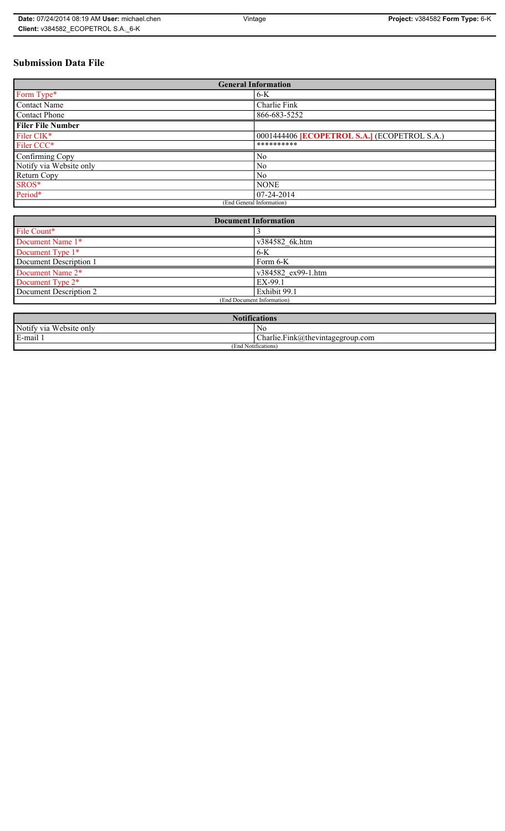# **Submission Data File**

| <b>General Information</b> |                                                     |
|----------------------------|-----------------------------------------------------|
| Form Type*                 | $6-K$                                               |
| <b>Contact Name</b>        | Charlie Fink                                        |
| <b>Contact Phone</b>       | 866-683-5252                                        |
| <b>Filer File Number</b>   |                                                     |
| Filer CIK*                 | 0001444406 <b>[ECOPETROL S.A.]</b> (ECOPETROL S.A.) |
| Filer CCC*                 | **********                                          |
| Confirming Copy            | No                                                  |
| Notify via Website only    | N <sub>0</sub>                                      |
| Return Copy                | N <sub>0</sub>                                      |
| SROS*                      | <b>NONE</b>                                         |
| Period*                    | $ 07-24-2014 $                                      |
| (End General Information)  |                                                     |

| <b>Document Information</b>  |                    |
|------------------------------|--------------------|
| File Count*                  |                    |
| Document Name 1*             | v384582 6k.htm     |
| Document Type 1*             | $6-K$              |
| Document Description 1       | Form 6-K           |
| Document Name 2*             | v384582 ex99-1.htm |
| Document Type 2 <sup>*</sup> | EX-99.1            |
| Document Description 2       | Exhibit 99.1       |
| (End Document Information)   |                    |
|                              |                    |

| <b>BT</b><br>$\sqrt{2}$<br>fications<br>AOV  |                                                                            |
|----------------------------------------------|----------------------------------------------------------------------------|
| Notify via<br>$\mathbf{v}$<br>a Website only | No                                                                         |
| E-mail <sup>1</sup>                          | $\sim$<br>$\blacksquare$<br>$\Lambda$ arlie.Fink $(a)$ thevintagegroup.com |
| (End Notifications)                          |                                                                            |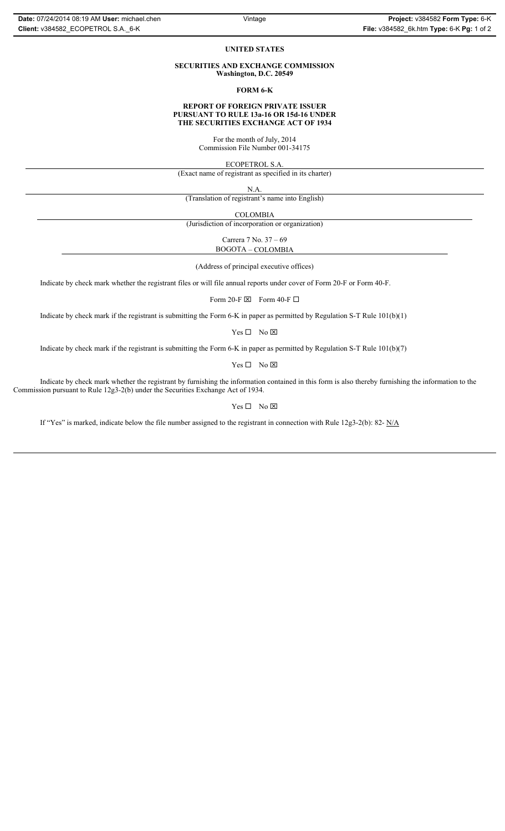#### **UNITED STATES**

#### **SECURITIES AND EXCHANGE COMMISSION Washington, D.C. 20549**

**FORM 6-K**

### **REPORT OF FOREIGN PRIVATE ISSUER PURSUANT TO RULE 13a-16 OR 15d-16 UNDER THE SECURITIES EXCHANGE ACT OF 1934**

For the month of July, 2014 Commission File Number 001-34175

ECOPETROL S.A.

(Exact name of registrant as specified in its charter)

N.A.

(Translation of registrant's name into English)

COLOMBIA

(Jurisdiction of incorporation or organization)

Carrera 7 No. 37 – 69 BOGOTA – COLOMBIA

(Address of principal executive offices)

Indicate by check mark whether the registrant files or will file annual reports under cover of Form 20-F or Form 40-F.

Form 20-F  $\boxtimes$  Form 40-F  $\Box$ 

Indicate by check mark if the registrant is submitting the Form 6-K in paper as permitted by Regulation S-T Rule 101(b)(1)

 $Yes \Box No \boxtimes$ 

Indicate by check mark if the registrant is submitting the Form 6-K in paper as permitted by Regulation S-T Rule 101(b)(7)

 $Yes \Box No \boxtimes$ 

Indicate by check mark whether the registrant by furnishing the information contained in this form is also thereby furnishing the information to the Commission pursuant to Rule 12g3-2(b) under the Securities Exchange Act of 1934.

 $Yes \Box No \boxtimes$ 

If "Yes" is marked, indicate below the file number assigned to the registrant in connection with Rule 12g3-2(b): 82- N/A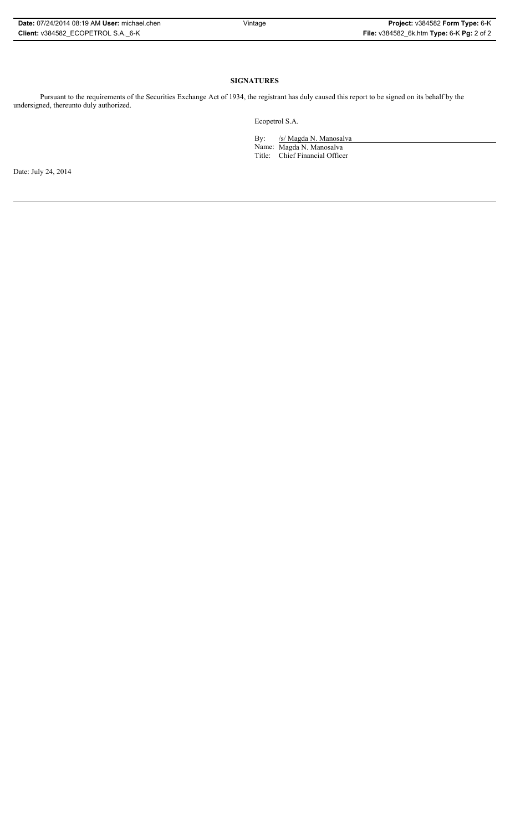| Date: 07/24/2014 08:19 AM User: michael.chen |
|----------------------------------------------|
| Client: v384582 ECOPETROL S.A. 6-K           |

# **SIGNATURES**

Pursuant to the requirements of the Securities Exchange Act of 1934, the registrant has duly caused this report to be signed on its behalf by the undersigned, thereunto duly authorized.

Ecopetrol S.A.

By: /s/ Magda N. Manosalva Name: Magda N. Manosalva Title: Chief Financial Officer

Date: July 24, 2014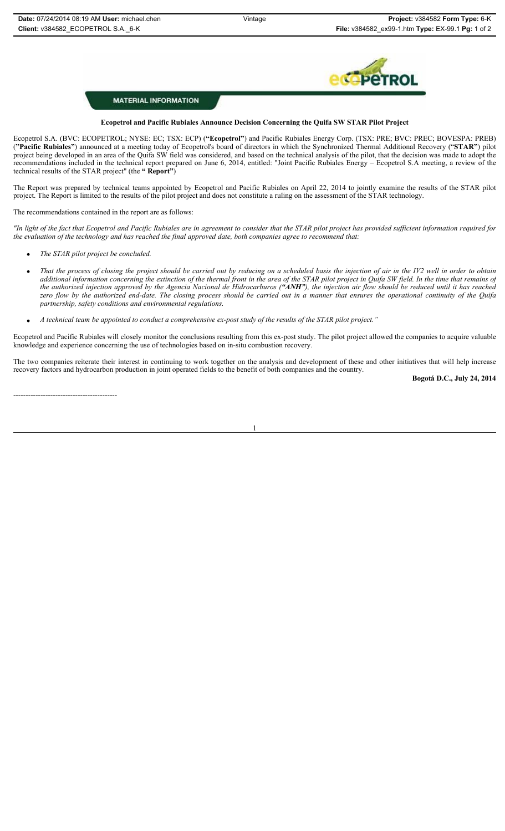

## **MATERIAL INFORMATION**

## **Ecopetrol and Pacific Rubiales Announce Decision Concerning the Quifa SW STAR Pilot Project**

Ecopetrol S.A. (BVC: ECOPETROL; NYSE: EC; TSX: ECP) (**"Ecopetrol"**) and Pacific Rubiales Energy Corp. (TSX: PRE; BVC: PREC; BOVESPA: PREB) (**"Pacific Rubiales"**) announced at a meeting today of Ecopetrol's board of directors in which the Synchronized Thermal Additional Recovery ("**STAR"**) pilot project being developed in an area of the Quifa SW field was considered, and based on the technical analysis of the pilot, that the decision was made to adopt the recommendations included in the technical report prepared on June 6, 2014, entitled: "Joint Pacific Rubiales Energy – Ecopetrol S.A meeting, a review of the technical results of the STAR project" (the **" Report"**)

The Report was prepared by technical teams appointed by Ecopetrol and Pacific Rubiales on April 22, 2014 to jointly examine the results of the STAR pilot project. The Report is limited to the results of the pilot project and does not constitute a ruling on the assessment of the STAR technology.

The recommendations contained in the report are as follows:

*"In light of the fact that Ecopetrol and Pacific Rubiales are in agreement to consider that the STAR pilot project has provided sufficient information required for the evaluation of the technology and has reached the final approved date, both companies agree to recommend that:*

- x *The STAR pilot project be concluded.*
- x *That the process of closing the project should be carried out by reducing on a scheduled basis the injection of air in the IV2 well in order to obtain additional information concerning the extinction of the thermal front in the area of the STAR pilot project in Quifa SW field. In the time that remains of the authorized injection approved by the Agencia Nacional de Hidrocarburos ("ANH"), the injection air flow should be reduced until it has reached zero flow by the authorized end-date. The closing process should be carried out in a manner that ensures the operational continuity of the Quifa partnership, safety conditions and environmental regulations.*
- x *A technical team be appointed to conduct a comprehensive ex-post study of the results of the STAR pilot project."*

Ecopetrol and Pacific Rubiales will closely monitor the conclusions resulting from this ex-post study. The pilot project allowed the companies to acquire valuable knowledge and experience concerning the use of technologies based on in-situ combustion recovery.

The two companies reiterate their interest in continuing to work together on the analysis and development of these and other initiatives that will help increase recovery factors and hydrocarbon production in joint operated fields to the benefit of both companies and the country.

1

------------------------------------------